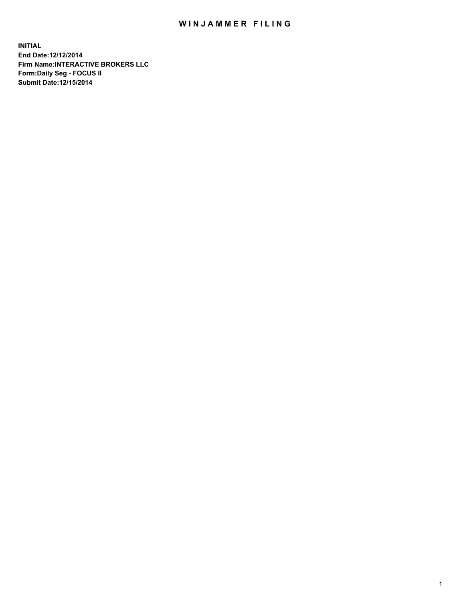## WIN JAMMER FILING

**INITIAL End Date:12/12/2014 Firm Name:INTERACTIVE BROKERS LLC Form:Daily Seg - FOCUS II Submit Date:12/15/2014**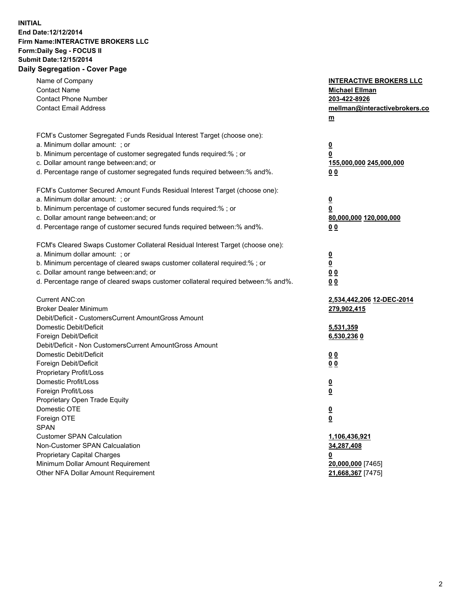## **INITIAL End Date:12/12/2014 Firm Name:INTERACTIVE BROKERS LLC Form:Daily Seg - FOCUS II Submit Date:12/15/2014 Daily Segregation - Cover Page**

| Name of Company<br><b>Contact Name</b><br><b>Contact Phone Number</b><br><b>Contact Email Address</b>                                                                                                                                                                                                                          | <b>INTERACTIVE BROKERS LLC</b><br><b>Michael Ellman</b><br>203-422-8926<br>mellman@interactivebrokers.co<br><u>m</u> |
|--------------------------------------------------------------------------------------------------------------------------------------------------------------------------------------------------------------------------------------------------------------------------------------------------------------------------------|----------------------------------------------------------------------------------------------------------------------|
| FCM's Customer Segregated Funds Residual Interest Target (choose one):<br>a. Minimum dollar amount: ; or<br>b. Minimum percentage of customer segregated funds required:% ; or<br>c. Dollar amount range between: and; or<br>d. Percentage range of customer segregated funds required between:% and%.                         | $\overline{\mathbf{0}}$<br>0<br>155,000,000 245,000,000<br>00                                                        |
| FCM's Customer Secured Amount Funds Residual Interest Target (choose one):<br>a. Minimum dollar amount: ; or<br>b. Minimum percentage of customer secured funds required:% ; or<br>c. Dollar amount range between: and; or<br>d. Percentage range of customer secured funds required between:% and%.                           | $\overline{\mathbf{0}}$<br>0<br>80,000,000 120,000,000<br>0 <sub>0</sub>                                             |
| FCM's Cleared Swaps Customer Collateral Residual Interest Target (choose one):<br>a. Minimum dollar amount: ; or<br>b. Minimum percentage of cleared swaps customer collateral required:% ; or<br>c. Dollar amount range between: and; or<br>d. Percentage range of cleared swaps customer collateral required between:% and%. | $\overline{\mathbf{0}}$<br><u>0</u><br>0 <sub>0</sub><br>0 <sub>0</sub>                                              |
| Current ANC:on<br><b>Broker Dealer Minimum</b><br>Debit/Deficit - CustomersCurrent AmountGross Amount<br>Domestic Debit/Deficit<br>Foreign Debit/Deficit                                                                                                                                                                       | 2,534,442,206 12-DEC-2014<br>279,902,415<br>5,531,359<br>6,530,236 0                                                 |
| Debit/Deficit - Non CustomersCurrent AmountGross Amount<br>Domestic Debit/Deficit<br>Foreign Debit/Deficit<br>Proprietary Profit/Loss<br>Domestic Profit/Loss<br>Foreign Profit/Loss                                                                                                                                           | 0 <sub>0</sub><br>0 <sub>0</sub><br>$\overline{\mathbf{0}}$<br>$\overline{\mathbf{0}}$                               |
| Proprietary Open Trade Equity<br>Domestic OTE<br>Foreign OTE<br><b>SPAN</b><br><b>Customer SPAN Calculation</b>                                                                                                                                                                                                                | $\overline{\mathbf{0}}$<br><u>0</u><br>1,106,436,921                                                                 |
| Non-Customer SPAN Calcualation<br><b>Proprietary Capital Charges</b><br>Minimum Dollar Amount Requirement<br>Other NFA Dollar Amount Requirement                                                                                                                                                                               | 34,287,408<br><u>0</u><br>20,000,000 [7465]<br>21,668,367 [7475]                                                     |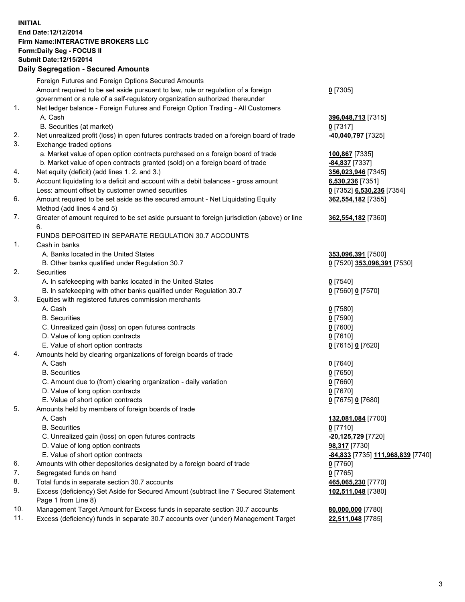## **INITIAL End Date:12/12/2014 Firm Name:INTERACTIVE BROKERS LLC Form:Daily Seg - FOCUS II Submit Date:12/15/2014 Daily Segregation - Secured Amounts**

|     | Foreign Futures and Foreign Options Secured Amounts                                                        |                                                       |
|-----|------------------------------------------------------------------------------------------------------------|-------------------------------------------------------|
|     | Amount required to be set aside pursuant to law, rule or regulation of a foreign                           | $0$ [7305]                                            |
|     | government or a rule of a self-regulatory organization authorized thereunder                               |                                                       |
| 1.  | Net ledger balance - Foreign Futures and Foreign Option Trading - All Customers                            |                                                       |
|     | A. Cash                                                                                                    | 396,048,713 [7315]                                    |
|     | B. Securities (at market)                                                                                  | $0$ [7317]                                            |
| 2.  | Net unrealized profit (loss) in open futures contracts traded on a foreign board of trade                  | <mark>-40,040,797</mark> [7325]                       |
| 3.  | Exchange traded options                                                                                    |                                                       |
|     | a. Market value of open option contracts purchased on a foreign board of trade                             | 100,867 [7335]                                        |
|     | b. Market value of open contracts granted (sold) on a foreign board of trade                               | -84,837 [7337]                                        |
| 4.  | Net equity (deficit) (add lines 1. 2. and 3.)                                                              | 356,023,946 [7345]                                    |
| 5.  | Account liquidating to a deficit and account with a debit balances - gross amount                          | 6,530,236 [7351]                                      |
|     | Less: amount offset by customer owned securities                                                           | 0 [7352] 6,530,236 [7354]                             |
| 6.  | Amount required to be set aside as the secured amount - Net Liquidating Equity                             | 362,554,182 [7355]                                    |
|     | Method (add lines 4 and 5)                                                                                 |                                                       |
| 7.  | Greater of amount required to be set aside pursuant to foreign jurisdiction (above) or line                | 362,554,182 [7360]                                    |
|     | 6.                                                                                                         |                                                       |
|     | FUNDS DEPOSITED IN SEPARATE REGULATION 30.7 ACCOUNTS                                                       |                                                       |
| 1.  | Cash in banks                                                                                              |                                                       |
|     | A. Banks located in the United States                                                                      | 353,096,391 [7500]                                    |
|     | B. Other banks qualified under Regulation 30.7                                                             | 0 [7520] 353,096,391 [7530]                           |
| 2.  | Securities                                                                                                 |                                                       |
|     | A. In safekeeping with banks located in the United States                                                  | $0$ [7540]                                            |
|     | B. In safekeeping with other banks qualified under Regulation 30.7                                         | 0 [7560] 0 [7570]                                     |
| 3.  | Equities with registered futures commission merchants                                                      |                                                       |
|     | A. Cash                                                                                                    | $0$ [7580]                                            |
|     | <b>B.</b> Securities                                                                                       | $0$ [7590]                                            |
|     | C. Unrealized gain (loss) on open futures contracts                                                        | $0$ [7600]                                            |
|     | D. Value of long option contracts                                                                          | $0$ [7610]                                            |
|     | E. Value of short option contracts                                                                         | 0 [7615] 0 [7620]                                     |
| 4.  | Amounts held by clearing organizations of foreign boards of trade                                          |                                                       |
|     | A. Cash                                                                                                    | $0$ [7640]                                            |
|     | <b>B.</b> Securities                                                                                       | $0$ [7650]                                            |
|     | C. Amount due to (from) clearing organization - daily variation                                            | $0$ [7660]                                            |
|     | D. Value of long option contracts                                                                          | $0$ [7670]                                            |
|     | E. Value of short option contracts                                                                         | 0 [7675] 0 [7680]                                     |
| 5.  | Amounts held by members of foreign boards of trade                                                         |                                                       |
|     | A. Cash                                                                                                    | 132,081,084 [7700]                                    |
|     | <b>B.</b> Securities                                                                                       | $0$ [7710]                                            |
|     | C. Unrealized gain (loss) on open futures contracts                                                        | -20,125,729 [7720]                                    |
|     | D. Value of long option contracts                                                                          | 98,317 [7730]                                         |
|     | E. Value of short option contracts                                                                         | <mark>-84,833</mark> [7735] <u>111,968,839</u> [7740] |
| 6.  | Amounts with other depositories designated by a foreign board of trade                                     | $0$ [7760]                                            |
| 7.  | Segregated funds on hand                                                                                   | $0$ [7765]                                            |
| 8.  | Total funds in separate section 30.7 accounts                                                              | 465,065,230 [7770]                                    |
| 9.  | Excess (deficiency) Set Aside for Secured Amount (subtract line 7 Secured Statement<br>Page 1 from Line 8) | 102,511,048 [7380]                                    |
| 10. | Management Target Amount for Excess funds in separate section 30.7 accounts                                | 80,000,000 [7780]                                     |
| 11. | Excess (deficiency) funds in separate 30.7 accounts over (under) Management Target                         | 22,511,048 [7785]                                     |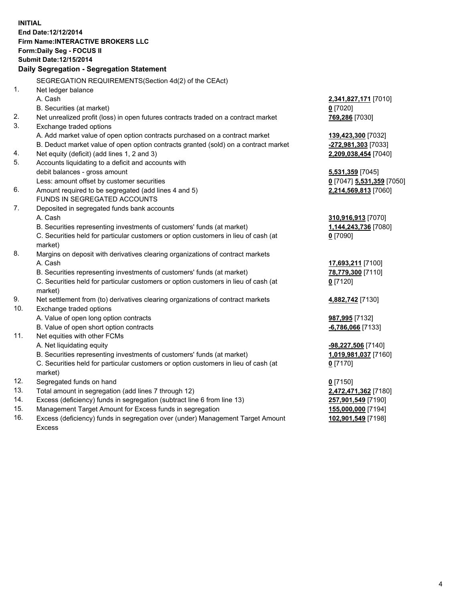**INITIAL End Date:12/12/2014 Firm Name:INTERACTIVE BROKERS LLC Form:Daily Seg - FOCUS II Submit Date:12/15/2014 Daily Segregation - Segregation Statement** SEGREGATION REQUIREMENTS(Section 4d(2) of the CEAct) 1. Net ledger balance A. Cash **2,341,827,171** [7010] B. Securities (at market) **0** [7020] 2. Net unrealized profit (loss) in open futures contracts traded on a contract market **769,286** [7030] 3. Exchange traded options A. Add market value of open option contracts purchased on a contract market **139,423,300** [7032] B. Deduct market value of open option contracts granted (sold) on a contract market **-272,981,303** [7033] 4. Net equity (deficit) (add lines 1, 2 and 3) **2,209,038,454** [7040] 5. Accounts liquidating to a deficit and accounts with debit balances - gross amount **5,531,359** [7045] Less: amount offset by customer securities **0** [7047] **5,531,359** [7050] 6. Amount required to be segregated (add lines 4 and 5) **2,214,569,813** [7060] FUNDS IN SEGREGATED ACCOUNTS 7. Deposited in segregated funds bank accounts A. Cash **310,916,913** [7070] B. Securities representing investments of customers' funds (at market) **1,144,243,736** [7080] C. Securities held for particular customers or option customers in lieu of cash (at market) **0** [7090] 8. Margins on deposit with derivatives clearing organizations of contract markets A. Cash **17,693,211** [7100] B. Securities representing investments of customers' funds (at market) **78,779,300** [7110] C. Securities held for particular customers or option customers in lieu of cash (at market) **0** [7120] 9. Net settlement from (to) derivatives clearing organizations of contract markets **4,882,742** [7130] 10. Exchange traded options A. Value of open long option contracts **987,995** [7132] B. Value of open short option contracts **-6,786,066** [7133] 11. Net equities with other FCMs A. Net liquidating equity **-98,227,506** [7140] B. Securities representing investments of customers' funds (at market) **1,019,981,037** [7160] C. Securities held for particular customers or option customers in lieu of cash (at market) **0** [7170] 12. Segregated funds on hand **0** [7150] 13. Total amount in segregation (add lines 7 through 12) **2,472,471,362** [7180] 14. Excess (deficiency) funds in segregation (subtract line 6 from line 13) **257,901,549** [7190] 15. Management Target Amount for Excess funds in segregation **155,000,000** [7194]

16. Excess (deficiency) funds in segregation over (under) Management Target Amount Excess

**102,901,549** [7198]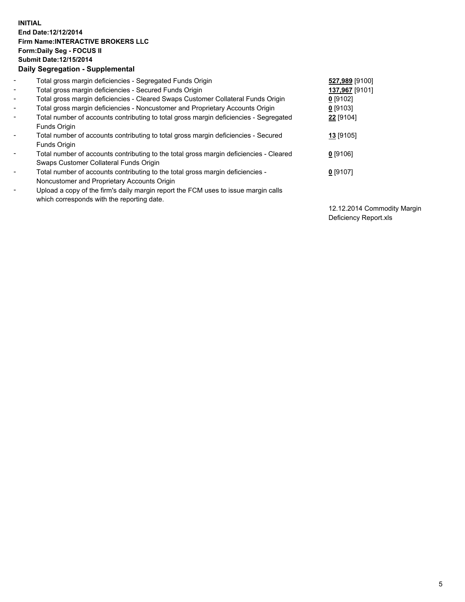## **INITIAL End Date:12/12/2014 Firm Name:INTERACTIVE BROKERS LLC Form:Daily Seg - FOCUS II Submit Date:12/15/2014 Daily Segregation - Supplemental**

| $\blacksquare$           | Total gross margin deficiencies - Segregated Funds Origin                              | 527,989 [9100] |
|--------------------------|----------------------------------------------------------------------------------------|----------------|
| $\blacksquare$           | Total gross margin deficiencies - Secured Funds Origin                                 | 137,967 [9101] |
| $\blacksquare$           | Total gross margin deficiencies - Cleared Swaps Customer Collateral Funds Origin       | $0$ [9102]     |
| $\blacksquare$           | Total gross margin deficiencies - Noncustomer and Proprietary Accounts Origin          | $0$ [9103]     |
| $\blacksquare$           | Total number of accounts contributing to total gross margin deficiencies - Segregated  | 22 [9104]      |
|                          | Funds Origin                                                                           |                |
| $\blacksquare$           | Total number of accounts contributing to total gross margin deficiencies - Secured     | 13 [9105]      |
|                          | Funds Origin                                                                           |                |
| $\blacksquare$           | Total number of accounts contributing to the total gross margin deficiencies - Cleared | $0$ [9106]     |
|                          | Swaps Customer Collateral Funds Origin                                                 |                |
| $\overline{\phantom{a}}$ | Total number of accounts contributing to the total gross margin deficiencies -         | $0$ [9107]     |
|                          | Noncustomer and Proprietary Accounts Origin                                            |                |
| $\overline{\phantom{a}}$ | Upload a copy of the firm's daily margin report the FCM uses to issue margin calls     |                |
|                          | which corresponds with the reporting date.                                             |                |

12.12.2014 Commodity Margin Deficiency Report.xls